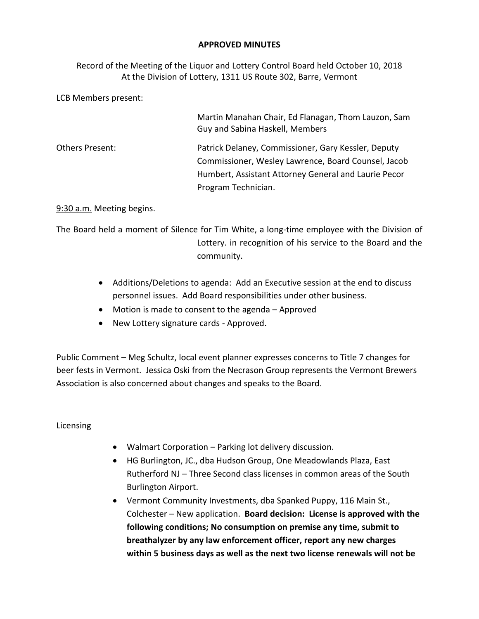## **APPROVED MINUTES**

Record of the Meeting of the Liquor and Lottery Control Board held October 10, 2018 At the Division of Lottery, 1311 US Route 302, Barre, Vermont

LCB Members present:

|                        | Martin Manahan Chair, Ed Flanagan, Thom Lauzon, Sam<br>Guy and Sabina Haskell, Members                                                                             |
|------------------------|--------------------------------------------------------------------------------------------------------------------------------------------------------------------|
| <b>Others Present:</b> | Patrick Delaney, Commissioner, Gary Kessler, Deputy<br>Commissioner, Wesley Lawrence, Board Counsel, Jacob<br>Humbert, Assistant Attorney General and Laurie Pecor |
|                        | Program Technician.                                                                                                                                                |

9:30 a.m. Meeting begins.

The Board held a moment of Silence for Tim White, a long-time employee with the Division of Lottery. in recognition of his service to the Board and the community.

- Additions/Deletions to agenda: Add an Executive session at the end to discuss personnel issues. Add Board responsibilities under other business.
- Motion is made to consent to the agenda Approved
- New Lottery signature cards Approved.

Public Comment – Meg Schultz, local event planner expresses concerns to Title 7 changes for beer fests in Vermont. Jessica Oski from the Necrason Group represents the Vermont Brewers Association is also concerned about changes and speaks to the Board.

Licensing

- Walmart Corporation Parking lot delivery discussion.
- HG Burlington, JC., dba Hudson Group, One Meadowlands Plaza, East Rutherford NJ – Three Second class licenses in common areas of the South Burlington Airport.
- Vermont Community Investments, dba Spanked Puppy, 116 Main St., Colchester – New application. **Board decision: License is approved with the following conditions; No consumption on premise any time, submit to breathalyzer by any law enforcement officer, report any new charges within 5 business days as well as the next two license renewals will not be**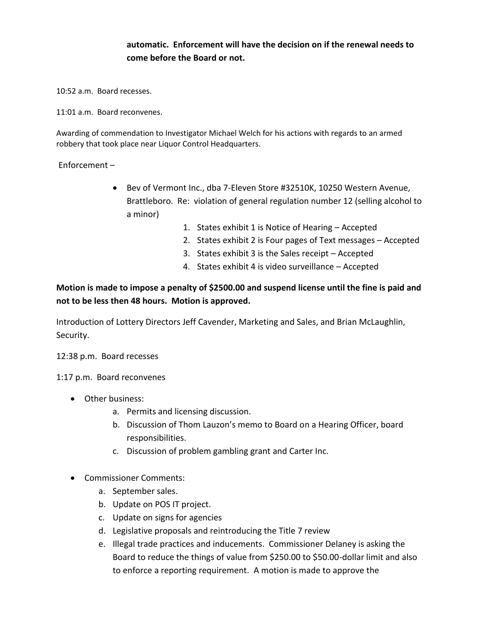## **automatic. Enforcement will have the decision on if the renewal needs to come before the Board or not.**

10:52 a.m. Board recesses.

11:01 a.m. Board reconvenes.

Awarding of commendation to Investigator Michael Welch for his actions with regards to an armed robbery that took place near Liquor Control Headquarters.

Enforcement –

- Bev of Vermont Inc., dba 7-Eleven Store #32510K, 10250 Western Avenue, Brattleboro. Re: violation of general regulation number 12 (selling alcohol to a minor)
	- 1. States exhibit 1 is Notice of Hearing Accepted
	- 2. States exhibit 2 is Four pages of Text messages Accepted
	- 3. States exhibit 3 is the Sales receipt Accepted
	- 4. States exhibit 4 is video surveillance Accepted

## **Motion is made to impose a penalty of \$2500.00 and suspend license until the fine is paid and not to be less then 48 hours. Motion is approved.**

Introduction of Lottery Directors Jeff Cavender, Marketing and Sales, and Brian McLaughlin, Security.

12:38 p.m. Board recesses

1:17 p.m. Board reconvenes

- Other business:
	- a. Permits and licensing discussion.
	- b. Discussion of Thom Lauzon's memo to Board on a Hearing Officer, board responsibilities.
	- c. Discussion of problem gambling grant and Carter Inc.
- Commissioner Comments:
	- a. September sales.
	- b. Update on POS IT project.
	- c. Update on signs for agencies
	- d. Legislative proposals and reintroducing the Title 7 review
	- e. Illegal trade practices and inducements. Commissioner Delaney is asking the Board to reduce the things of value from \$250.00 to \$50.00-dollar limit and also to enforce a reporting requirement. A motion is made to approve the